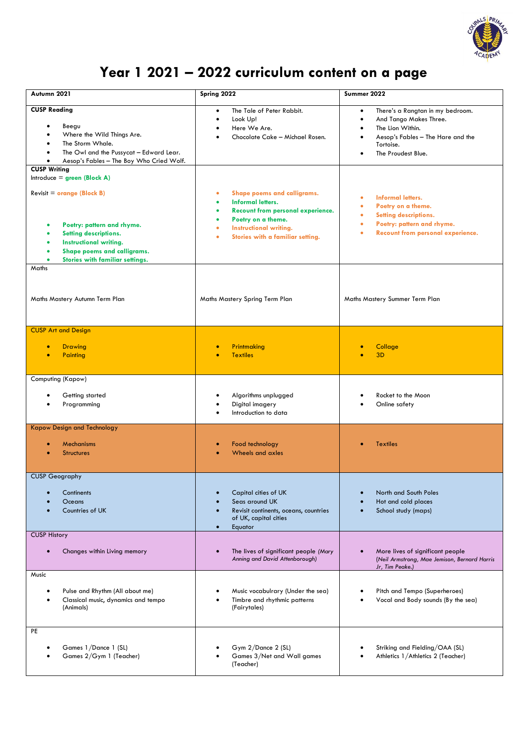

## **Year 1 2021 – 2022 curriculum content on a page**

| Autumn 2021                                                                                                                                                                                                                      | Spring 2022                                                                                                                                                                                                              | Summer 2022                                                                                                                                                                                        |
|----------------------------------------------------------------------------------------------------------------------------------------------------------------------------------------------------------------------------------|--------------------------------------------------------------------------------------------------------------------------------------------------------------------------------------------------------------------------|----------------------------------------------------------------------------------------------------------------------------------------------------------------------------------------------------|
| <b>CUSP Reading</b><br>Beegu<br>Where the Wild Things Are.<br>The Storm Whale.<br>The Owl and the Pussycat - Edward Lear.<br>Aesop's Fables - The Boy Who Cried Wolf.<br><b>CUSP Writing</b>                                     | The Tale of Peter Rabbit.<br>$\bullet$<br>Look Up!<br>$\bullet$<br>Here We Are.<br>Chocolate Cake - Michael Rosen.                                                                                                       | There's a Rangtan in my bedroom.<br>$\bullet$<br>And Tango Makes Three.<br>$\bullet$<br>The Lion Within.<br>$\bullet$<br>Aesop's Fables - The Hare and the<br>٠<br>Tortoise.<br>The Proudest Blue. |
| Introduce = $green (Block A)$<br>Revisit = $orange$ (Block B)<br>Poetry: pattern and rhyme.<br>Setting descriptions.<br><b>Instructional writing.</b><br>Shape poems and calligrams.<br>Stories with familiar settings.<br>Maths | Shape poems and calligrams.<br>۰<br><b>Informal letters.</b><br>Recount from personal experience.<br>٠<br>Poetry on a theme.<br>٠<br><b>Instructional writing.</b><br>$\bullet$<br>Stories with a familiar setting.<br>٠ | <b>Informal letters.</b><br>$\bullet$<br>Poetry on a theme.<br>۰<br>Setting descriptions.<br>۰<br>Poetry: pattern and rhyme.<br>٠<br>Recount from personal experience.<br>۰                        |
| Maths Mastery Autumn Term Plan                                                                                                                                                                                                   | Maths Mastery Spring Term Plan                                                                                                                                                                                           | Maths Mastery Summer Term Plan                                                                                                                                                                     |
| <b>CUSP Art and Design</b><br><b>Drawing</b><br>Painting                                                                                                                                                                         | Printmaking<br><b>Textiles</b>                                                                                                                                                                                           | Collage<br>3 <sub>D</sub>                                                                                                                                                                          |
| Computing (Kapow)                                                                                                                                                                                                                |                                                                                                                                                                                                                          |                                                                                                                                                                                                    |
| Getting started<br>Programming                                                                                                                                                                                                   | Algorithms unplugged<br>Digital imagery<br>Introduction to data                                                                                                                                                          | Rocket to the Moon<br>Online safety                                                                                                                                                                |
| <b>Kapow Design and Technology</b><br><b>Mechanisms</b><br><b>Structures</b>                                                                                                                                                     | Food technology<br>Wheels and axles                                                                                                                                                                                      | <b>Textiles</b>                                                                                                                                                                                    |
| <b>CUSP Geography</b><br>Continents<br>Oceans<br>Countries of UK<br><b>CUSP History</b>                                                                                                                                          | Capital cities of UK<br>Seas around UK<br>Revisit continents, oceans, countries<br>of UK, capital cities<br>Equator<br>$\bullet$                                                                                         | North and South Poles<br>Hot and cold places<br>School study (maps)                                                                                                                                |
| Changes within Living memory                                                                                                                                                                                                     | The lives of significant people (Mary<br>Anning and David Attenborough)                                                                                                                                                  | More lives of significant people<br>$\bullet$<br>(Neil Armstrong, Mae Jemison, Bernard Harris<br>Jr, Tim Peake.)                                                                                   |
| Music<br>Pulse and Rhythm (All about me)<br>$\bullet$<br>Classical music, dynamics and tempo<br>(Animals)                                                                                                                        | Music vocabulrary (Under the sea)<br>Timbre and rhythmic patterns<br>(Fairytales)                                                                                                                                        | Pitch and Tempo (Superheroes)<br>Vocal and Body sounds (By the sea)                                                                                                                                |
| PE<br>Games 1/Dance 1 (SL)<br>Games 2/Gym 1 (Teacher)                                                                                                                                                                            | Gym 2/Dance 2 (SL)<br>Games 3/Net and Wall games<br>(Teacher)                                                                                                                                                            | Striking and Fielding/OAA (SL)<br>Athletics 1/Athletics 2 (Teacher)                                                                                                                                |